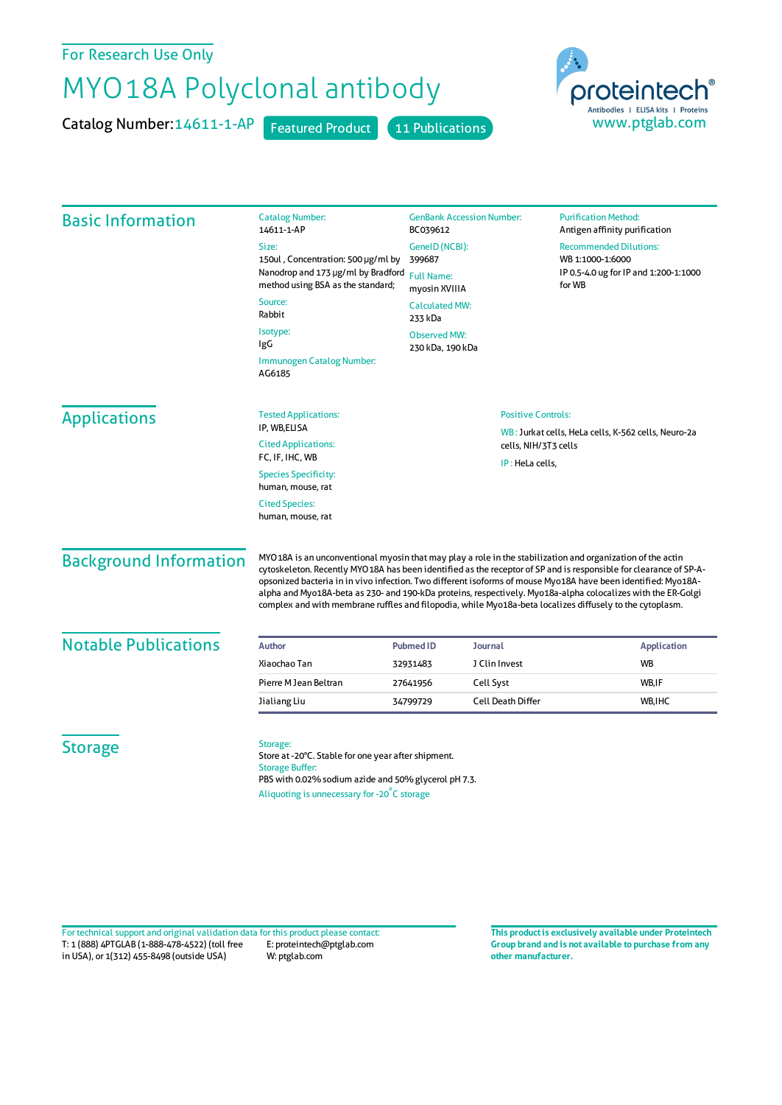## For Research Use Only

## MYO18A Polyclonal antibody

Catalog Number: 14611-1-AP Featured Product 11 Publications



| <b>Basic Information</b>                         | <b>Catalog Number:</b><br>14611-1-AP                                                                                                                                                                                                                                                                                                                                                                                                                                                                                                                                         | <b>GenBank Accession Number:</b><br>BC039612                   |                          | <b>Purification Method:</b><br>Antigen affinity purification                                         |                   |
|--------------------------------------------------|------------------------------------------------------------------------------------------------------------------------------------------------------------------------------------------------------------------------------------------------------------------------------------------------------------------------------------------------------------------------------------------------------------------------------------------------------------------------------------------------------------------------------------------------------------------------------|----------------------------------------------------------------|--------------------------|------------------------------------------------------------------------------------------------------|-------------------|
|                                                  | Size:<br>150ul, Concentration: 500 µg/ml by<br>Nanodrop and 173 µg/ml by Bradford<br>method using BSA as the standard;                                                                                                                                                                                                                                                                                                                                                                                                                                                       | GeneID (NCBI):<br>399687<br><b>Full Name:</b><br>myosin XVIIIA |                          | <b>Recommended Dilutions:</b><br>WB 1:1000-1:6000<br>IP 0.5-4.0 ug for IP and 1:200-1:1000<br>for WB |                   |
|                                                  |                                                                                                                                                                                                                                                                                                                                                                                                                                                                                                                                                                              |                                                                |                          |                                                                                                      | Source:<br>Rabbit |
|                                                  | Isotype:<br>IgG                                                                                                                                                                                                                                                                                                                                                                                                                                                                                                                                                              | <b>Observed MW:</b><br>230 kDa, 190 kDa                        |                          |                                                                                                      |                   |
|                                                  | Immunogen Catalog Number:<br>AG6185                                                                                                                                                                                                                                                                                                                                                                                                                                                                                                                                          |                                                                |                          |                                                                                                      |                   |
|                                                  | <b>Applications</b>                                                                                                                                                                                                                                                                                                                                                                                                                                                                                                                                                          | <b>Tested Applications:</b>                                    |                          | <b>Positive Controls:</b>                                                                            |                   |
| IP, WB,ELISA<br><b>Cited Applications:</b>       |                                                                                                                                                                                                                                                                                                                                                                                                                                                                                                                                                                              |                                                                | cells, NIH/3T3 cells     | WB: Jurkat cells, HeLa cells, K-562 cells, Neuro-2a                                                  |                   |
| FC, IF, IHC, WB                                  |                                                                                                                                                                                                                                                                                                                                                                                                                                                                                                                                                                              |                                                                | IP: HeLa cells,          |                                                                                                      |                   |
| <b>Species Specificity:</b><br>human, mouse, rat |                                                                                                                                                                                                                                                                                                                                                                                                                                                                                                                                                                              |                                                                |                          |                                                                                                      |                   |
| <b>Cited Species:</b><br>human, mouse, rat       |                                                                                                                                                                                                                                                                                                                                                                                                                                                                                                                                                                              |                                                                |                          |                                                                                                      |                   |
| <b>Background Information</b>                    | MYO18A is an unconventional myosin that may play a role in the stabilization and organization of the actin<br>cytoskeleton. Recently MYO18A has been identified as the receptor of SP and is responsible for clearance of SP-A-<br>opsonized bacteria in in vivo infection. Two different isoforms of mouse Myo18A have been identified: Myo18A-<br>alpha and Myo18A-beta as 230- and 190-kDa proteins, respectively. Myo18a-alpha colocalizes with the ER-Golgi<br>complex and with membrane ruffles and filopodia, while Myo18a-beta localizes diffusely to the cytoplasm. |                                                                |                          |                                                                                                      |                   |
| <b>Notable Publications</b>                      | <b>Author</b>                                                                                                                                                                                                                                                                                                                                                                                                                                                                                                                                                                | <b>Pubmed ID</b>                                               | <b>Journal</b>           | <b>Application</b>                                                                                   |                   |
|                                                  | Xiaochao Tan                                                                                                                                                                                                                                                                                                                                                                                                                                                                                                                                                                 | 32931483                                                       | J Clin Invest            | WB                                                                                                   |                   |
|                                                  | Pierre M Jean Beltran                                                                                                                                                                                                                                                                                                                                                                                                                                                                                                                                                        | 27641956                                                       | Cell Syst                | WB,IF                                                                                                |                   |
|                                                  | Jialiang Liu                                                                                                                                                                                                                                                                                                                                                                                                                                                                                                                                                                 | 34799729                                                       | <b>Cell Death Differ</b> | WB, IHC                                                                                              |                   |
| <b>Storage</b>                                   | Storage:<br>Store at -20°C. Stable for one year after shipment.<br><b>Storage Buffer:</b><br>PBS with 0.02% sodium azide and 50% glycerol pH 7.3.                                                                                                                                                                                                                                                                                                                                                                                                                            |                                                                |                          |                                                                                                      |                   |

T: 1 (888) 4PTGLAB (1-888-478-4522) (toll free in USA), or 1(312) 455-8498 (outside USA) E: proteintech@ptglab.com W: ptglab.com Fortechnical support and original validation data forthis product please contact: **This productis exclusively available under Proteintech**

**Group brand and is not available to purchase from any other manufacturer.**